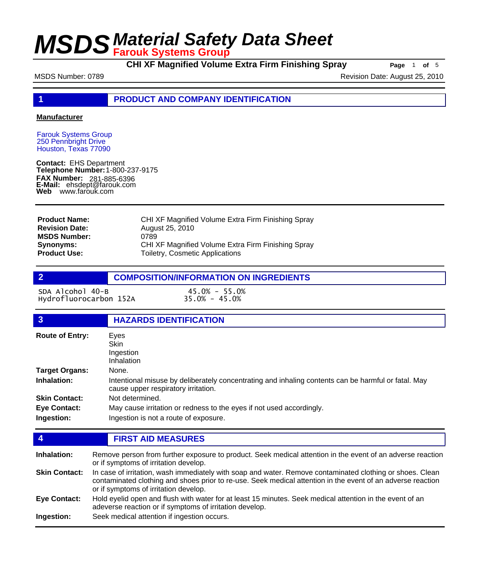**CHI XF Magnified Volume Extra Firm Finishing Spray Page** 1 of 5

MSDS Number: 0789 Revision Date: August 25, 2010

**1 PRODUCT AND COMPANY IDENTIFICATION**

#### **Manufacturer**

Farouk Systems Group 250 Pennbright Drive Houston, Texas 77090

**Contact:** EHS Department **Telephone Number:** 1-800-237-9175 **FAX Number: FAX Number:** 281-885-6396<br>**E-Mail:** ehsdept@farouk.com **Web** www.farouk.com

| <b>Product Name:</b>  | CHI XF Magnified Volume Extra Firm Finishing Spray |
|-----------------------|----------------------------------------------------|
| <b>Revision Date:</b> | August 25, 2010                                    |
| <b>MSDS Number:</b>   | 0789                                               |
| <b>Synonyms:</b>      | CHI XF Magnified Volume Extra Firm Finishing Spray |
| <b>Product Use:</b>   | Toiletry, Cosmetic Applications                    |

### **2 COMPOSITION/INFORMATION ON INGREDIENTS**

SDA Alcohol 40-B 45.0% - 55.0% Hydrofluorocarbon 152A

| 3                      | <b>HAZARDS IDENTIFICATION</b>                                                                                                              |  |  |
|------------------------|--------------------------------------------------------------------------------------------------------------------------------------------|--|--|
| <b>Route of Entry:</b> | Eyes<br>Skin<br>Ingestion<br>Inhalation                                                                                                    |  |  |
| <b>Target Organs:</b>  | None.                                                                                                                                      |  |  |
| Inhalation:            | Intentional misuse by deliberately concentrating and inhaling contents can be harmful or fatal. May<br>cause upper respiratory irritation. |  |  |
| <b>Skin Contact:</b>   | Not determined.                                                                                                                            |  |  |
| <b>Eye Contact:</b>    | May cause irritation or redness to the eyes if not used accordingly.                                                                       |  |  |
| Ingestion:             | Ingestion is not a route of exposure.                                                                                                      |  |  |

### **4 FIRST AID MEASURES**

Remove person from further exposure to product. Seek medical attention in the event of an adverse reaction or if symptoms of irritation develop. **Inhalation:** In case of irritation, wash immediately with soap and water. Remove contaminated clothing or shoes. Clean contaminated clothing and shoes prior to re-use. Seek medical attention in the event of an adverse reaction or if symptoms of irritation develop. **Skin Contact:** Hold eyelid open and flush with water for at least 15 minutes. Seek medical attention in the event of an adeverse reaction or if symptoms of irritation develop. **Eye Contact: Ingestion:** Seek medical attention if ingestion occurs.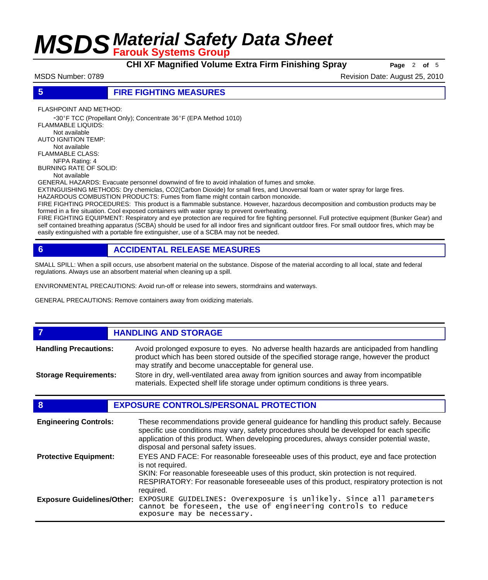**CHI XF Magnified Volume Extra Firm Finishing Spray** Page 2 of 5

MSDS Number: 0789 Revision Date: August 25, 2010

### **5 FIRE FIGHTING MEASURES**

FLASHPOINT AND METHOD:

 -30ºF TCC (Propellant Only); Concentrate 36ºF (EPA Method 1010) FLAMMABLE LIQUIDS: Not available AUTO IGNITION TEMP: Not available FLAMMABLE CLASS: NFPA Rating: 4 BURNING RATE OF SOLID:

Not available

GENERAL HAZARDS: Evacuate personnel downwind of fire to avoid inhalation of fumes and smoke.

EXTINGUISHING METHODS: Dry chemiclas, CO2(Carbon Dioxide) for small fires, and Unoversal foam or water spray for large fires.

HAZARDOUS COMBUSTION PRODUCTS: Fumes from flame might contain carbon monoxide.

FIRE FIGHTING PROCEDURES: This product is a flammable substance. However, hazardous decomposition and combustion products may be formed in a fire situation. Cool exposed containers with water spray to prevent overheating.

FIRE FIGHTING EQUIPMENT: Respiratory and eye protection are required for fire fighting personnel. Full protective equipment (Bunker Gear) and self contained breathing apparatus (SCBA) should be used for all indoor fires and significant outdoor fires. For small outdoor fires, which may be easily extinguished with a portable fire extinguisher, use of a SCBA may not be needed.

### **6 ACCIDENTAL RELEASE MEASURES**

SMALL SPILL: When a spill occurs, use absorbent material on the substance. Dispose of the material according to all local, state and federal regulations. Always use an absorbent material when cleaning up a spill.

ENVIRONMENTAL PRECAUTIONS: Avoid run-off or release into sewers, stormdrains and waterways.

GENERAL PRECAUTIONS: Remove containers away from oxidizing materials.

#### **FIGURE 12 IN STORAGE** Avoid prolonged exposure to eyes. No adverse health hazards are anticipaded from handling product which has been stored outside of the specified storage range, however the product may stratify and become unacceptable for general use. **Handling Precautions:** Store in dry, well-ventilated area away from ignition sources and away from incompatible materials. Expected shelf life storage under optimum conditions is three years. **Storage Requirements:**

### **8 EXPOSURE CONTROLS/PERSONAL PROTECTION**

| <b>Engineering Controls:</b>      | These recommendations provide general guideance for handling this product safely. Because<br>specific use conditions may vary, safety procedures should be developed for each specific<br>application of this product. When developing procedures, always consider potential waste,<br>disposal and personal safety issues. |
|-----------------------------------|-----------------------------------------------------------------------------------------------------------------------------------------------------------------------------------------------------------------------------------------------------------------------------------------------------------------------------|
| <b>Protective Equipment:</b>      | EYES AND FACE: For reasonable foreseeable uses of this product, eye and face protection<br>is not required.<br>SKIN: For reasonable foreseeable uses of this product, skin protection is not required.<br>RESPIRATORY: For reasonable foreseeable uses of this product, respiratory protection is not<br>required.          |
| <b>Exposure Guidelines/Other:</b> | EXPOSURE GUIDELINES: Overexposure is unlikely. Since all parameters<br>cannot be foreseen, the use of engineering controls to reduce<br>exposure may be necessary.                                                                                                                                                          |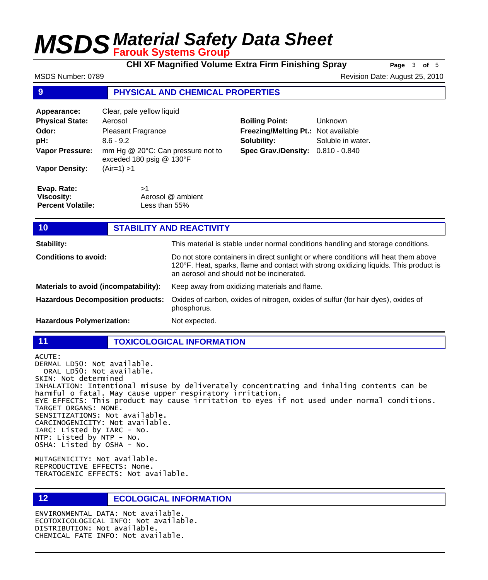**CHI XF Magnified Volume Extra Firm Finishing Spray Page** 3 of 5

| MSDS Number: 0789                                            |                                                               |                                                                                                                                                                                                                           |                                                                                   | Revision Date: August 25, 2010                                                   |  |  |
|--------------------------------------------------------------|---------------------------------------------------------------|---------------------------------------------------------------------------------------------------------------------------------------------------------------------------------------------------------------------------|-----------------------------------------------------------------------------------|----------------------------------------------------------------------------------|--|--|
| 9                                                            | <b>PHYSICAL AND CHEMICAL PROPERTIES</b>                       |                                                                                                                                                                                                                           |                                                                                   |                                                                                  |  |  |
| Appearance:                                                  | Clear, pale yellow liquid                                     |                                                                                                                                                                                                                           |                                                                                   |                                                                                  |  |  |
| <b>Physical State:</b>                                       | Aerosol                                                       |                                                                                                                                                                                                                           | <b>Boiling Point:</b>                                                             | Unknown                                                                          |  |  |
| Odor:                                                        | <b>Pleasant Fragrance</b>                                     |                                                                                                                                                                                                                           | Freezing/Melting Pt.: Not available                                               |                                                                                  |  |  |
| pH:                                                          | $8.6 - 9.2$                                                   |                                                                                                                                                                                                                           | Solubility:                                                                       | Soluble in water.                                                                |  |  |
| <b>Vapor Pressure:</b>                                       | mm Hg @ 20°C: Can pressure not to<br>exceded 180 psig @ 130°F |                                                                                                                                                                                                                           | <b>Spec Grav./Density:</b>                                                        | $0.810 - 0.840$                                                                  |  |  |
| <b>Vapor Density:</b>                                        | $(Air=1) > 1$                                                 |                                                                                                                                                                                                                           |                                                                                   |                                                                                  |  |  |
| Evap. Rate:<br><b>Viscosity:</b><br><b>Percent Volatile:</b> | >1<br>Aerosol @ ambient<br>Less than 55%                      |                                                                                                                                                                                                                           |                                                                                   |                                                                                  |  |  |
| 10 <sub>1</sub>                                              |                                                               | <b>STABILITY AND REACTIVITY</b>                                                                                                                                                                                           |                                                                                   |                                                                                  |  |  |
| <b>Stability:</b>                                            |                                                               |                                                                                                                                                                                                                           |                                                                                   | This material is stable under normal conditions handling and storage conditions. |  |  |
| <b>Conditions to avoid:</b>                                  |                                                               | Do not store containers in direct sunlight or where conditions will heat them above<br>120°F. Heat, sparks, flame and contact with strong oxidizing liquids. This product is<br>an aerosol and should not be incinerated. |                                                                                   |                                                                                  |  |  |
| Materials to avoid (incompatability):                        |                                                               | Keep away from oxidizing materials and flame.                                                                                                                                                                             |                                                                                   |                                                                                  |  |  |
| <b>Hazardous Decomposition products:</b>                     |                                                               |                                                                                                                                                                                                                           | Oxides of carbon, oxides of nitrogen, oxides of sulfur (for hair dyes), oxides of |                                                                                  |  |  |

phosphorus. **Hazardous Polymerization:** Not expected.

**11 TOXICOLOGICAL INFORMATION**

ACUTE: DERMAL LD50: Not available. ORAL LD50: Not available. SKIN: Not determined INHALATION: Intentional misuse by deliverately concentrating and inhaling contents can be harmful o fatal. May cause upper respiratory irritation. EYE EFFECTS: This product may cause irritation to eyes if not used under normal conditions. TARGET ORGANS: NONE. SENSITIZATIONS: Not available. CARCINOGENICITY: Not available. IARC: Listed by IARC - No. NTP: Listed by NTP - No. OSHA: Listed by OSHA - No.

MUTAGENICITY: Not available. REPRODUCTIVE EFFECTS: None. TERATOGENIC EFFECTS: Not available.

**12 ECOLOGICAL INFORMATION** 

ENVIRONMENTAL DATA: Not available. ECOTOXICOLOGICAL INFO: Not available. DISTRIBUTION: Not available. CHEMICAL FATE INFO: Not available.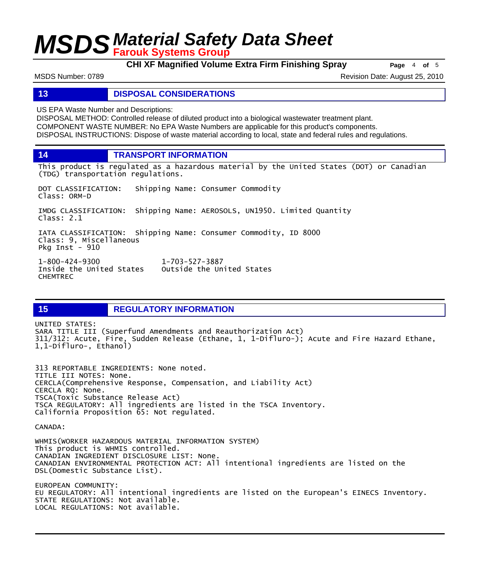**CHI XF Magnified Volume Extra Firm Finishing Spray Page** <sup>4</sup> **of** <sup>5</sup>

MSDS Number: 0789 Revision Date: August 25, 2010

### **13 DISPOSAL CONSIDERATIONS**

US EPA Waste Number and Descriptions:

DISPOSAL METHOD: Controlled release of diluted product into a biological wastewater treatment plant. COMPONENT WASTE NUMBER: No EPA Waste Numbers are applicable for this product's components. DISPOSAL INSTRUCTIONS: Dispose of waste material according to local, state and federal rules and regulations.

**14 TRANSPORT INFORMATION**

This product is regulated as a hazardous material by the United States (DOT) or Canadian (TDG) transportation regulations.

DOT CLASSIFICATION: Shipping Name: Consumer Commodity Class: ORM-D IMDG CLASSIFICATION: Shipping Name: AEROSOLS, UN1950. Limited Quantity Class: 2.1 IATA CLASSIFICATION: Shipping Name: Consumer Commodity, ID 8000 Class: 9, Miscellaneous Pkg Inst - 910 1-800-424-9300 1-703-527-3887 Outside the United States

**15 REGULATORY INFORMATION**

UNITED STATES: SARA TITLE III (Superfund Amendments and Reauthorization Act) 311/312: Acute, Fire, Sudden Release (Ethane, 1, 1-Difluro-); Acute and Fire Hazard Ethane, 1,1-Difluro-, Ethanol)

313 REPORTABLE INGREDIENTS: None noted. TITLE III NOTES: None. CERCLA(Comprehensive Response, Compensation, and Liability Act) CERCLA RQ: None. TSCA(Toxic Substance Release Act) TSCA REGULATORY: All ingredients are listed in the TSCA Inventory. California Proposition 65: Not regulated.

CANADA:

CHEMTREC

WHMIS(WORKER HAZARDOUS MATERIAL INFORMATION SYSTEM) This product is WHMIS controlled. CANADIAN INGREDIENT DISCLOSURE LIST: None. CANADIAN ENVIRONMENTAL PROTECTION ACT: All intentional ingredients are listed on the DSL(Domestic Substance List).

EUROPEAN COMMUNITY: EU REGULATORY: All intentional ingredients are listed on the European's EINECS Inventory. STATE REGULATIONS: Not available. LOCAL REGULATIONS: Not available.